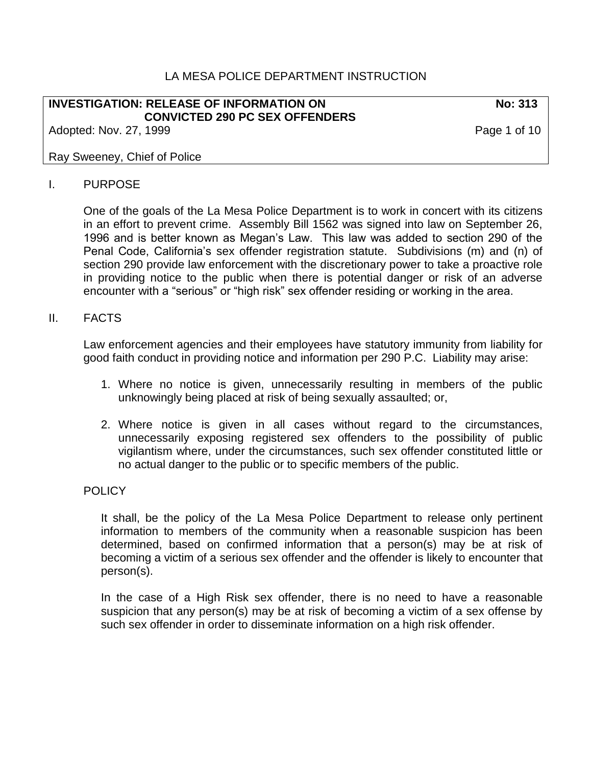### LA MESA POLICE DEPARTMENT INSTRUCTION

#### **INVESTIGATION: RELEASE OF INFORMATION ON No: 313 CONVICTED 290 PC SEX OFFENDERS**

Adopted: Nov. 27, 1999 **Page 1 of 10** 

#### Ray Sweeney, Chief of Police

#### I. PURPOSE

One of the goals of the La Mesa Police Department is to work in concert with its citizens in an effort to prevent crime. Assembly Bill 1562 was signed into law on September 26, 1996 and is better known as Megan's Law. This law was added to section 290 of the Penal Code, California's sex offender registration statute. Subdivisions (m) and (n) of section 290 provide law enforcement with the discretionary power to take a proactive role in providing notice to the public when there is potential danger or risk of an adverse encounter with a "serious" or "high risk" sex offender residing or working in the area.

#### II. FACTS

Law enforcement agencies and their employees have statutory immunity from liability for good faith conduct in providing notice and information per 290 P.C. Liability may arise:

- 1. Where no notice is given, unnecessarily resulting in members of the public unknowingly being placed at risk of being sexually assaulted; or,
- 2. Where notice is given in all cases without regard to the circumstances, unnecessarily exposing registered sex offenders to the possibility of public vigilantism where, under the circumstances, such sex offender constituted little or no actual danger to the public or to specific members of the public.

#### POLICY.

It shall, be the policy of the La Mesa Police Department to release only pertinent information to members of the community when a reasonable suspicion has been determined, based on confirmed information that a person(s) may be at risk of becoming a victim of a serious sex offender and the offender is likely to encounter that person(s).

In the case of a High Risk sex offender, there is no need to have a reasonable suspicion that any person(s) may be at risk of becoming a victim of a sex offense by such sex offender in order to disseminate information on a high risk offender.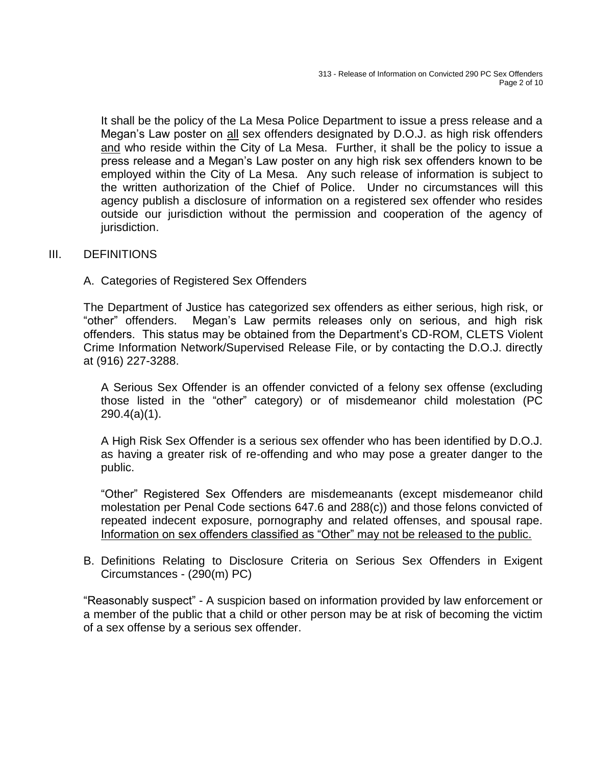It shall be the policy of the La Mesa Police Department to issue a press release and a Megan's Law poster on all sex offenders designated by D.O.J. as high risk offenders and who reside within the City of La Mesa. Further, it shall be the policy to issue a press release and a Megan's Law poster on any high risk sex offenders known to be employed within the City of La Mesa. Any such release of information is subject to the written authorization of the Chief of Police. Under no circumstances will this agency publish a disclosure of information on a registered sex offender who resides outside our jurisdiction without the permission and cooperation of the agency of jurisdiction.

#### III. DEFINITIONS

#### A. Categories of Registered Sex Offenders

The Department of Justice has categorized sex offenders as either serious, high risk, or "other" offenders. Megan's Law permits releases only on serious, and high risk offenders. This status may be obtained from the Department's CD-ROM, CLETS Violent Crime Information Network/Supervised Release File, or by contacting the D.O.J. directly at (916) 227-3288.

A Serious Sex Offender is an offender convicted of a felony sex offense (excluding those listed in the "other" category) or of misdemeanor child molestation (PC 290.4(a)(1).

A High Risk Sex Offender is a serious sex offender who has been identified by D.O.J. as having a greater risk of re-offending and who may pose a greater danger to the public.

"Other" Registered Sex Offenders are misdemeanants (except misdemeanor child molestation per Penal Code sections 647.6 and 288(c)) and those felons convicted of repeated indecent exposure, pornography and related offenses, and spousal rape. Information on sex offenders classified as "Other" may not be released to the public.

B. Definitions Relating to Disclosure Criteria on Serious Sex Offenders in Exigent Circumstances - (290(m) PC)

"Reasonably suspect" - A suspicion based on information provided by law enforcement or a member of the public that a child or other person may be at risk of becoming the victim of a sex offense by a serious sex offender.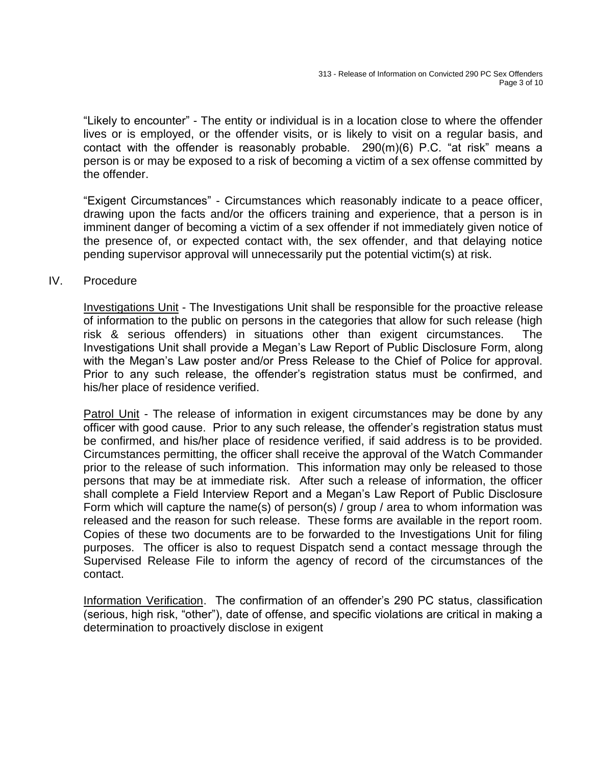"Likely to encounter" - The entity or individual is in a location close to where the offender lives or is employed, or the offender visits, or is likely to visit on a regular basis, and contact with the offender is reasonably probable. 290(m)(6) P.C. "at risk" means a person is or may be exposed to a risk of becoming a victim of a sex offense committed by the offender.

"Exigent Circumstances" - Circumstances which reasonably indicate to a peace officer, drawing upon the facts and/or the officers training and experience, that a person is in imminent danger of becoming a victim of a sex offender if not immediately given notice of the presence of, or expected contact with, the sex offender, and that delaying notice pending supervisor approval will unnecessarily put the potential victim(s) at risk.

#### IV. Procedure

Investigations Unit - The Investigations Unit shall be responsible for the proactive release of information to the public on persons in the categories that allow for such release (high risk & serious offenders) in situations other than exigent circumstances. The Investigations Unit shall provide a Megan's Law Report of Public Disclosure Form, along with the Megan's Law poster and/or Press Release to the Chief of Police for approval. Prior to any such release, the offender's registration status must be confirmed, and his/her place of residence verified.

Patrol Unit - The release of information in exigent circumstances may be done by any officer with good cause. Prior to any such release, the offender's registration status must be confirmed, and his/her place of residence verified, if said address is to be provided. Circumstances permitting, the officer shall receive the approval of the Watch Commander prior to the release of such information. This information may only be released to those persons that may be at immediate risk. After such a release of information, the officer shall complete a Field Interview Report and a Megan's Law Report of Public Disclosure Form which will capture the name(s) of person(s) / group / area to whom information was released and the reason for such release. These forms are available in the report room. Copies of these two documents are to be forwarded to the Investigations Unit for filing purposes. The officer is also to request Dispatch send a contact message through the Supervised Release File to inform the agency of record of the circumstances of the contact.

Information Verification. The confirmation of an offender's 290 PC status, classification (serious, high risk, "other"), date of offense, and specific violations are critical in making a determination to proactively disclose in exigent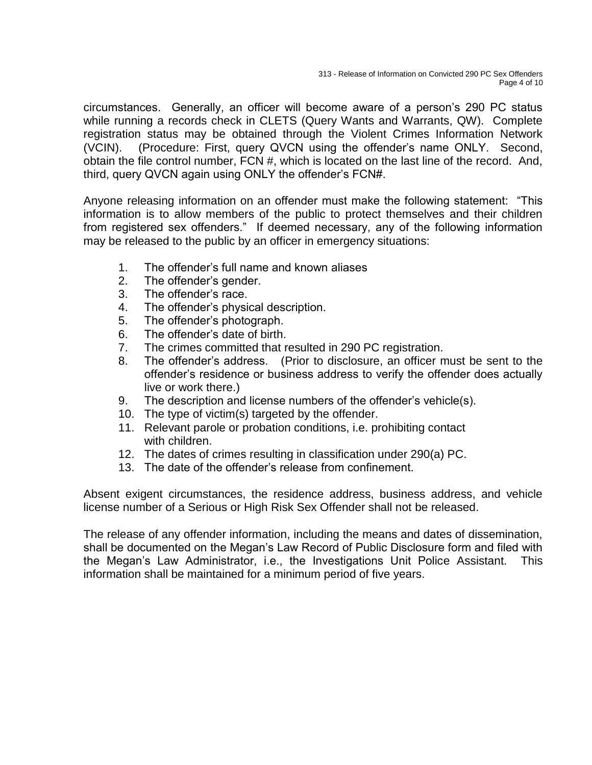circumstances. Generally, an officer will become aware of a person's 290 PC status while running a records check in CLETS (Query Wants and Warrants, QW). Complete registration status may be obtained through the Violent Crimes Information Network (VCIN). (Procedure: First, query QVCN using the offender's name ONLY. Second, obtain the file control number, FCN #, which is located on the last line of the record. And, third, query QVCN again using ONLY the offender's FCN#.

Anyone releasing information on an offender must make the following statement: "This information is to allow members of the public to protect themselves and their children from registered sex offenders." If deemed necessary, any of the following information may be released to the public by an officer in emergency situations:

- 1. The offender's full name and known aliases
- 2. The offender's gender.
- 3. The offender's race.
- 4. The offender's physical description.
- 5. The offender's photograph.
- 6. The offender's date of birth.
- 7. The crimes committed that resulted in 290 PC registration.
- 8. The offender's address. (Prior to disclosure, an officer must be sent to the offender's residence or business address to verify the offender does actually live or work there.)
- 9. The description and license numbers of the offender's vehicle(s).
- 10. The type of victim(s) targeted by the offender.
- 11. Relevant parole or probation conditions, i.e. prohibiting contact with children.
- 12. The dates of crimes resulting in classification under 290(a) PC.
- 13. The date of the offender's release from confinement.

Absent exigent circumstances, the residence address, business address, and vehicle license number of a Serious or High Risk Sex Offender shall not be released.

The release of any offender information, including the means and dates of dissemination, shall be documented on the Megan's Law Record of Public Disclosure form and filed with the Megan's Law Administrator, i.e., the Investigations Unit Police Assistant. This information shall be maintained for a minimum period of five years.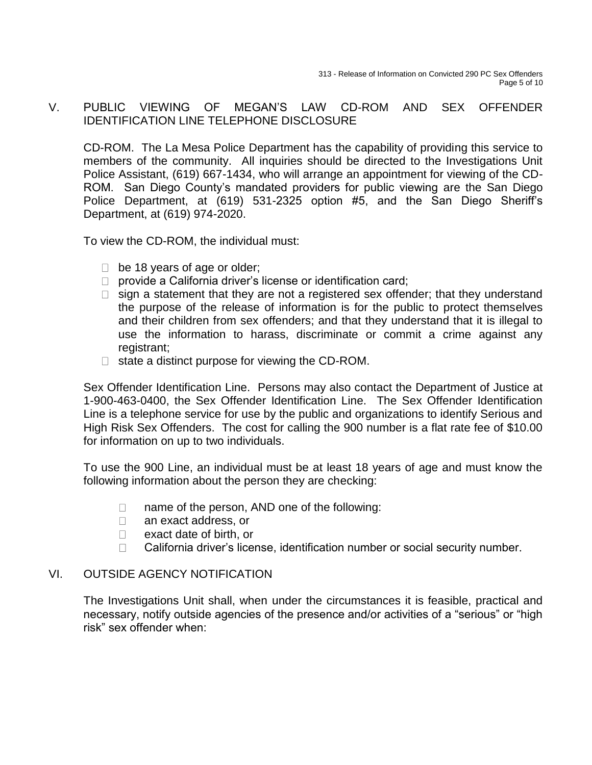### V. PUBLIC VIEWING OF MEGAN'S LAW CD-ROM AND SEX OFFENDER IDENTIFICATION LINE TELEPHONE DISCLOSURE

CD-ROM. The La Mesa Police Department has the capability of providing this service to members of the community. All inquiries should be directed to the Investigations Unit Police Assistant, (619) 667-1434, who will arrange an appointment for viewing of the CD-ROM. San Diego County's mandated providers for public viewing are the San Diego Police Department, at (619) 531-2325 option #5, and the San Diego Sheriff's Department, at (619) 974-2020.

To view the CD-ROM, the individual must:

- $\Box$  be 18 years of age or older;
- $\Box$  provide a California driver's license or identification card;
- $\Box$  sign a statement that they are not a registered sex offender; that they understand the purpose of the release of information is for the public to protect themselves and their children from sex offenders; and that they understand that it is illegal to use the information to harass, discriminate or commit a crime against any registrant;
- $\Box$  state a distinct purpose for viewing the CD-ROM.

Sex Offender Identification Line. Persons may also contact the Department of Justice at 1-900-463-0400, the Sex Offender Identification Line. The Sex Offender Identification Line is a telephone service for use by the public and organizations to identify Serious and High Risk Sex Offenders. The cost for calling the 900 number is a flat rate fee of \$10.00 for information on up to two individuals.

To use the 900 Line, an individual must be at least 18 years of age and must know the following information about the person they are checking:

- $\Box$ name of the person, AND one of the following:
- $\Box$ an exact address, or
- $\Box$ exact date of birth, or
- California driver's license, identification number or social security number.  $\Box$

### VI. OUTSIDE AGENCY NOTIFICATION

The Investigations Unit shall, when under the circumstances it is feasible, practical and necessary, notify outside agencies of the presence and/or activities of a "serious" or "high risk" sex offender when: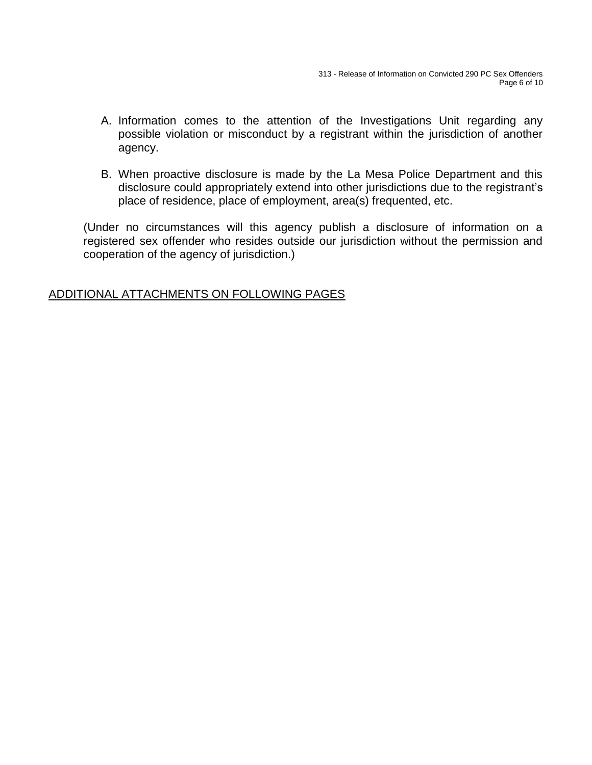- A. Information comes to the attention of the Investigations Unit regarding any possible violation or misconduct by a registrant within the jurisdiction of another agency.
- B. When proactive disclosure is made by the La Mesa Police Department and this disclosure could appropriately extend into other jurisdictions due to the registrant's place of residence, place of employment, area(s) frequented, etc.

(Under no circumstances will this agency publish a disclosure of information on a registered sex offender who resides outside our jurisdiction without the permission and cooperation of the agency of jurisdiction.)

## ADDITIONAL ATTACHMENTS ON FOLLOWING PAGES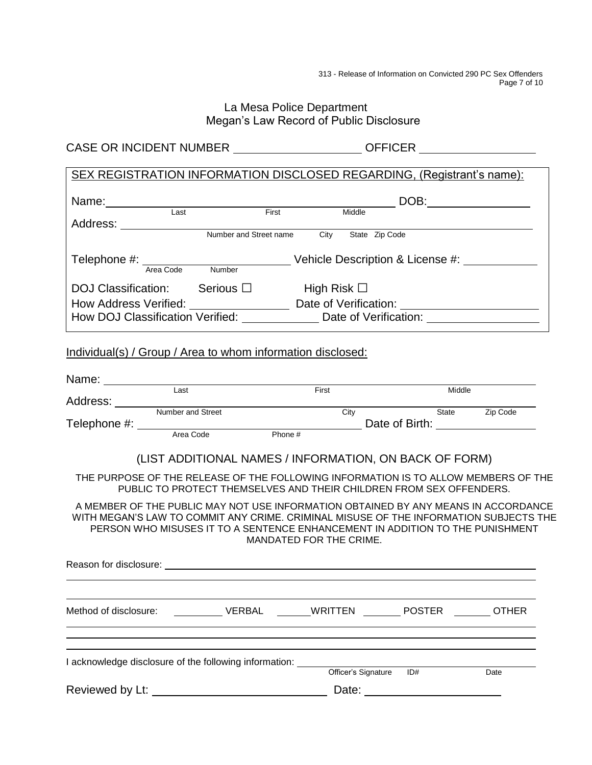313 - Release of Information on Convicted 290 PC Sex Offenders Page 7 of 10

### La Mesa Police Department Megan's Law Record of Public Disclosure

CASE OR INCIDENT NUMBER \_\_\_\_\_\_\_\_\_\_\_\_\_\_\_\_\_\_\_\_\_\_OFFICER \_

# SEX REGISTRATION INFORMATION DISCLOSED REGARDING, (Registrant's name):

| Name:                            |                                  |                       | DOB:                  |  |  |
|----------------------------------|----------------------------------|-----------------------|-----------------------|--|--|
| Last<br>Address:                 | First                            | Middle                |                       |  |  |
|                                  | Number and Street name           | City                  | State Zip Code        |  |  |
| Telephone #:                     | Vehicle Description & License #: |                       |                       |  |  |
| Area Code                        | Number                           |                       |                       |  |  |
| <b>DOJ Classification:</b>       | Serious $\Box$                   | High Risk $\Box$      |                       |  |  |
| How Address Verified:            |                                  | Date of Verification: |                       |  |  |
| How DOJ Classification Verified: |                                  |                       | Date of Verification: |  |  |

## Individual(s) / Group / Area to whom information disclosed:

| Last                                                                                                                                                                                                                           | First                   |     | Middle |                                   |
|--------------------------------------------------------------------------------------------------------------------------------------------------------------------------------------------------------------------------------|-------------------------|-----|--------|-----------------------------------|
| Address: <u>Number and Street</u>                                                                                                                                                                                              |                         |     |        |                                   |
|                                                                                                                                                                                                                                | City                    |     |        | <b>Example 25 State</b> 2ip Code  |
|                                                                                                                                                                                                                                |                         |     |        | Date of Birth: __________________ |
|                                                                                                                                                                                                                                |                         |     |        |                                   |
| (LIST ADDITIONAL NAMES / INFORMATION, ON BACK OF FORM)                                                                                                                                                                         |                         |     |        |                                   |
| THE PURPOSE OF THE RELEASE OF THE FOLLOWING INFORMATION IS TO ALLOW MEMBERS OF THE                                                                                                                                             |                         |     |        |                                   |
| PUBLIC TO PROTECT THEMSELVES AND THEIR CHILDREN FROM SEX OFFENDERS.                                                                                                                                                            |                         |     |        |                                   |
| A MEMBER OF THE PUBLIC MAY NOT USE INFORMATION OBTAINED BY ANY MEANS IN ACCORDANCE                                                                                                                                             |                         |     |        |                                   |
| WITH MEGAN'S LAW TO COMMIT ANY CRIME. CRIMINAL MISUSE OF THE INFORMATION SUBJECTS THE                                                                                                                                          |                         |     |        |                                   |
| PERSON WHO MISUSES IT TO A SENTENCE ENHANCEMENT IN ADDITION TO THE PUNISHMENT                                                                                                                                                  |                         |     |        |                                   |
|                                                                                                                                                                                                                                | MANDATED FOR THE CRIME. |     |        |                                   |
|                                                                                                                                                                                                                                |                         |     |        |                                   |
|                                                                                                                                                                                                                                |                         |     |        |                                   |
| Method of disclosure:  WERBAL  WRITTEN POSTER OTHER                                                                                                                                                                            |                         |     |        |                                   |
|                                                                                                                                                                                                                                |                         |     |        |                                   |
| I acknowledge disclosure of the following information:                                                                                                                                                                         |                         |     |        |                                   |
|                                                                                                                                                                                                                                | Officer's Signature     | ID# |        | Date                              |
| Reviewed by Lt: New York Changes and Changes and Changes and Changes and Changes and Changes and Changes and Changes and Changes and Changes and Changes and Changes and Changes and Changes and Changes and Changes and Chang | Date:                   |     |        |                                   |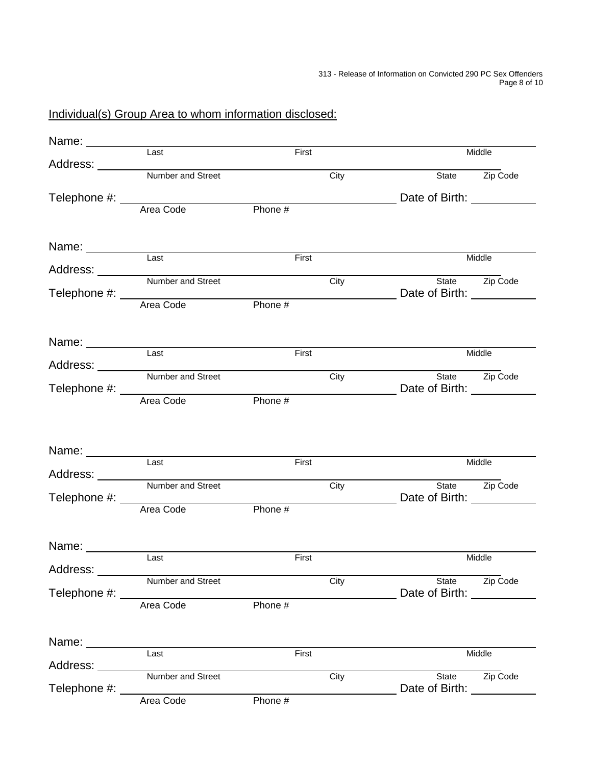# Individual(s) Group Area to whom information disclosed:

|                  | $\overline{Last}$                 | First   |      |                               | Middle                |
|------------------|-----------------------------------|---------|------|-------------------------------|-----------------------|
|                  | Address: Number and Street        |         | City |                               | State <b>Zip Code</b> |
|                  |                                   |         |      |                               |                       |
|                  |                                   |         |      |                               |                       |
|                  | Area Code                         | Phone # |      |                               |                       |
|                  |                                   |         |      |                               |                       |
|                  |                                   |         |      |                               |                       |
|                  | Last                              | First   |      |                               | Middle                |
|                  |                                   |         |      |                               |                       |
|                  | Address: <u>Number and Street</u> |         | City |                               | State <b>Zip Code</b> |
|                  |                                   |         |      |                               |                       |
|                  |                                   |         |      |                               |                       |
|                  |                                   |         |      |                               |                       |
|                  |                                   |         |      |                               |                       |
|                  | Last                              | First   |      |                               | Middle                |
|                  | Address: <u>Number and Street</u> |         |      |                               |                       |
|                  |                                   |         | City |                               | State <b>Zip Code</b> |
|                  | Telephone #:<br>Area Code Phone # |         |      | Date of Birth: Date of Birth: |                       |
|                  |                                   |         |      |                               |                       |
|                  |                                   |         |      |                               |                       |
|                  |                                   |         |      |                               |                       |
| Name: __________ |                                   |         |      |                               |                       |
|                  | Last                              | First   |      |                               | Middle                |
|                  | Number and Street                 |         | City |                               | State <b>Zip Code</b> |
| Telephone #: ___ |                                   |         |      | Date of Birth: 2008           |                       |
|                  | Area Code                         | Phone # |      |                               |                       |
|                  |                                   |         |      |                               |                       |
|                  |                                   |         |      |                               |                       |
| Name: _________  |                                   |         |      |                               | Middle                |
| Address: _______ | Last                              | First   |      |                               |                       |
|                  | Number and Street                 |         | City | State                         | Zip Code              |
| Telephone #: __  |                                   |         |      | Date of Birth: Date of Birth: |                       |
|                  | Area Code                         | Phone # |      |                               |                       |
|                  |                                   |         |      |                               |                       |
|                  |                                   |         |      |                               |                       |
| Name:            | Last                              | First   |      |                               | Middle                |
| Address:         |                                   |         |      |                               |                       |
|                  | Number and Street                 |         | City |                               | State <b>Zip Code</b> |
| Telephone #: _   |                                   |         |      | Date of Birth: Date of Birth: |                       |
|                  | Area Code                         | Phone # |      |                               |                       |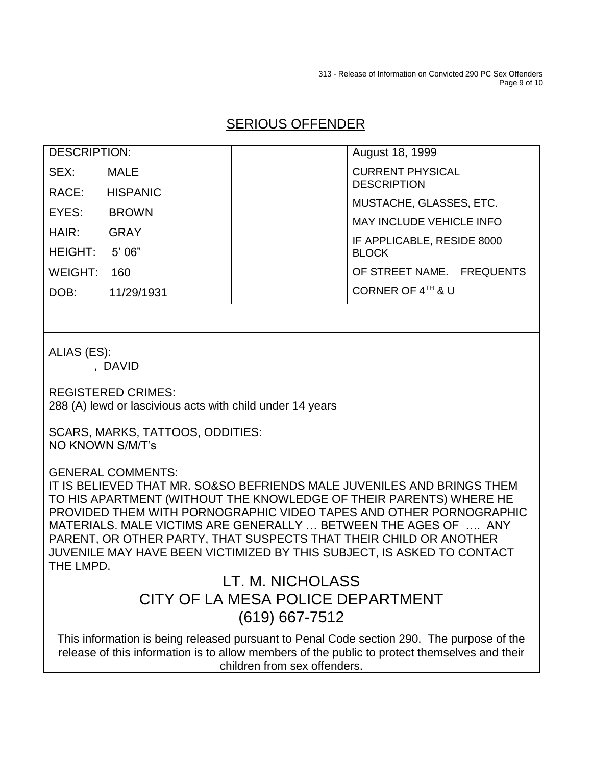313 - Release of Information on Convicted 290 PC Sex Offenders Page 9 of 10

# SERIOUS OFFENDER

| DESCRIPTION: |            |  |
|--------------|------------|--|
| SEX:         | MALE       |  |
| RACE:        | HISPANIC   |  |
| EYES:        | BROWN      |  |
| HAIR:        | GRAY       |  |
| HEIGHT:      | 5' 06"     |  |
| WEIGHT:      | 160        |  |
| DOB:         | 11/29/1931 |  |

August 18, 1999 CURRENT PHYSICAL **DESCRIPTION** MUSTACHE, GLASSES, ETC. MAY INCLUDE VEHICLE INFO IF APPLICABLE, RESIDE 8000 BLOCK OF STREET NAME. FREQUENTS CORNER OF 4TH & U

ALIAS (ES):

, DAVID

REGISTERED CRIMES:

288 (A) lewd or lascivious acts with child under 14 years

SCARS, MARKS, TATTOOS, ODDITIES: NO KNOWN S/M/T's

GENERAL COMMENTS:

IT IS BELIEVED THAT MR. SO&SO BEFRIENDS MALE JUVENILES AND BRINGS THEM TO HIS APARTMENT (WITHOUT THE KNOWLEDGE OF THEIR PARENTS) WHERE HE PROVIDED THEM WITH PORNOGRAPHIC VIDEO TAPES AND OTHER PORNOGRAPHIC MATERIALS. MALE VICTIMS ARE GENERALLY … BETWEEN THE AGES OF …. ANY PARENT, OR OTHER PARTY, THAT SUSPECTS THAT THEIR CHILD OR ANOTHER JUVENILE MAY HAVE BEEN VICTIMIZED BY THIS SUBJECT, IS ASKED TO CONTACT THE LMPD.

# LT. M. NICHOLASS CITY OF LA MESA POLICE DEPARTMENT (619) 667-7512

This information is being released pursuant to Penal Code section 290. The purpose of the release of this information is to allow members of the public to protect themselves and their children from sex offenders.